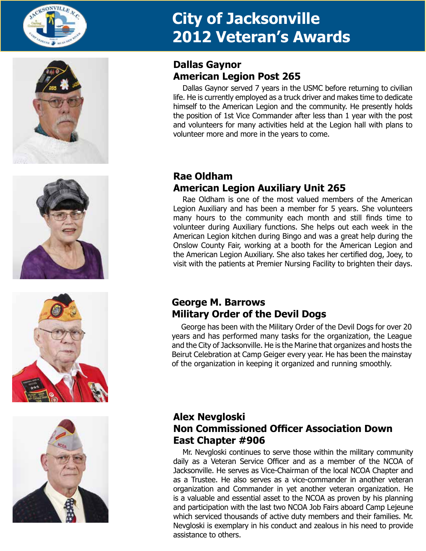









## **Dallas Gaynor American Legion Post 265**

Dallas Gaynor served 7 years in the USMC before returning to civilian life. He is currently employed as a truck driver and makes time to dedicate himself to the American Legion and the community. He presently holds the position of 1st Vice Commander after less than 1 year with the post and volunteers for many activities held at the Legion hall with plans to volunteer more and more in the years to come.

## **Rae Oldham American Legion Auxiliary Unit 265**

Rae Oldham is one of the most valued members of the American Legion Auxiliary and has been a member for 5 years. She volunteers many hours to the community each month and still finds time to volunteer during Auxiliary functions. She helps out each week in the American Legion kitchen during Bingo and was a great help during the Onslow County Fair, working at a booth for the American Legion and the American Legion Auxiliary. She also takes her certified dog, Joey, to visit with the patients at Premier Nursing Facility to brighten their days.

### **George M. Barrows Military Order of the Devil Dogs**

George has been with the Military Order of the Devil Dogs for over 20 years and has performed many tasks for the organization, the League and the City of Jacksonville. He is the Marine that organizes and hosts the Beirut Celebration at Camp Geiger every year. He has been the mainstay of the organization in keeping it organized and running smoothly.

## **Alex Nevgloski Non Commissioned Officer Association Down East Chapter #906**

Mr. Nevgloski continues to serve those within the military community daily as a Veteran Service Officer and as a member of the NCOA of Jacksonville. He serves as Vice-Chairman of the local NCOA Chapter and as a Trustee. He also serves as a vice-commander in another veteran organization and Commander in yet another veteran organization. He is a valuable and essential asset to the NCOA as proven by his planning and participation with the last two NCOA Job Fairs aboard Camp Lejeune which serviced thousands of active duty members and their families. Mr. Nevgloski is exemplary in his conduct and zealous in his need to provide assistance to others.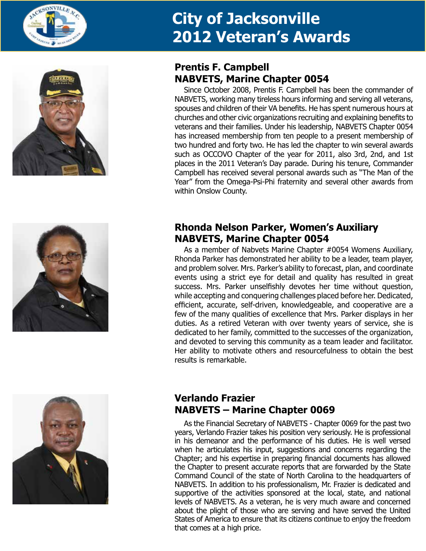







## **Prentis F. Campbell NABVETS, Marine Chapter 0054**

Since October 2008, Prentis F. Campbell has been the commander of NABVETS, working many tireless hours informing and serving all veterans, spouses and children of their VA benefits. He has spent numerous hours at churches and other civic organizations recruiting and explaining benefits to veterans and their families. Under his leadership, NABVETS Chapter 0054 has increased membership from ten people to a present membership of two hundred and forty two. He has led the chapter to win several awards such as OCCOVO Chapter of the year for 2011, also 3rd, 2nd, and 1st places in the 2011 Veteran's Day parade. During his tenure, Commander Campbell has received several personal awards such as "The Man of the Year" from the Omega-Psi-Phi fraternity and several other awards from within Onslow County.

## **Rhonda Nelson Parker, Women's Auxiliary NABVETS, Marine Chapter 0054**

As a member of Nabvets Marine Chapter #0054 Womens Auxiliary, Rhonda Parker has demonstrated her ability to be a leader, team player, and problem solver. Mrs. Parker's ability to forecast, plan, and coordinate events using a strict eye for detail and quality has resulted in great success. Mrs. Parker unselfishly devotes her time without question, while accepting and conquering challenges placed before her. Dedicated, efficient, accurate, self-driven, knowledgeable, and cooperative are a few of the many qualities of excellence that Mrs. Parker displays in her duties. As a retired Veteran with over twenty years of service, she is dedicated to her family, committed to the successes of the organization, and devoted to serving this community as a team leader and facilitator. Her ability to motivate others and resourcefulness to obtain the best results is remarkable.

## **Verlando Frazier NABVETS – Marine Chapter 0069**

As the Financial Secretary of NABVETS - Chapter 0069 for the past two years, Verlando Frazier takes his position very seriously. He is professional in his demeanor and the performance of his duties. He is well versed when he articulates his input, suggestions and concerns regarding the Chapter; and his expertise in preparing financial documents has allowed the Chapter to present accurate reports that are forwarded by the State Command Council of the state of North Carolina to the headquarters of NABVETS. In addition to his professionalism, Mr. Frazier is dedicated and supportive of the activities sponsored at the local, state, and national levels of NABVETS. As a veteran, he is very much aware and concerned about the plight of those who are serving and have served the United States of America to ensure that its citizens continue to enjoy the freedom that comes at a high price.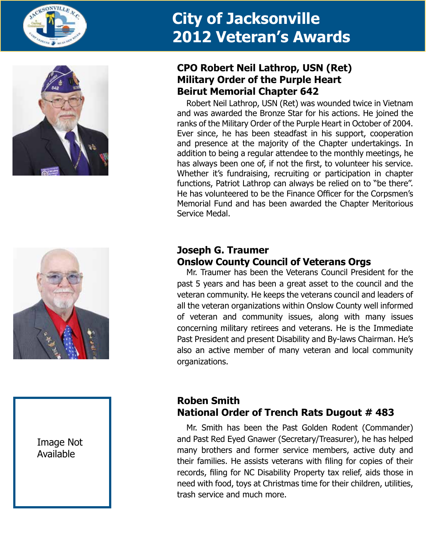





### Image Not Available

## **CPO Robert Neil Lathrop, USN (Ret) Military Order of the Purple Heart Beirut Memorial Chapter 642**

Robert Neil Lathrop, USN (Ret) was wounded twice in Vietnam and was awarded the Bronze Star for his actions. He joined the ranks of the Military Order of the Purple Heart in October of 2004. Ever since, he has been steadfast in his support, cooperation and presence at the majority of the Chapter undertakings. In addition to being a regular attendee to the monthly meetings, he has always been one of, if not the first, to volunteer his service. Whether it's fundraising, recruiting or participation in chapter functions, Patriot Lathrop can always be relied on to "be there". He has volunteered to be the Finance Officer for the Corpsmen's Memorial Fund and has been awarded the Chapter Meritorious Service Medal.

## **Joseph G. Traumer Onslow County Council of Veterans Orgs**

Mr. Traumer has been the Veterans Council President for the past 5 years and has been a great asset to the council and the veteran community. He keeps the veterans council and leaders of all the veteran organizations within Onslow County well informed of veteran and community issues, along with many issues concerning military retirees and veterans. He is the Immediate Past President and present Disability and By-laws Chairman. He's also an active member of many veteran and local community organizations.

## **Roben Smith National Order of Trench Rats Dugout # 483**

Mr. Smith has been the Past Golden Rodent (Commander) and Past Red Eyed Gnawer (Secretary/Treasurer), he has helped many brothers and former service members, active duty and their families. He assists veterans with filing for copies of their records, filing for NC Disability Property tax relief, aids those in need with food, toys at Christmas time for their children, utilities, trash service and much more.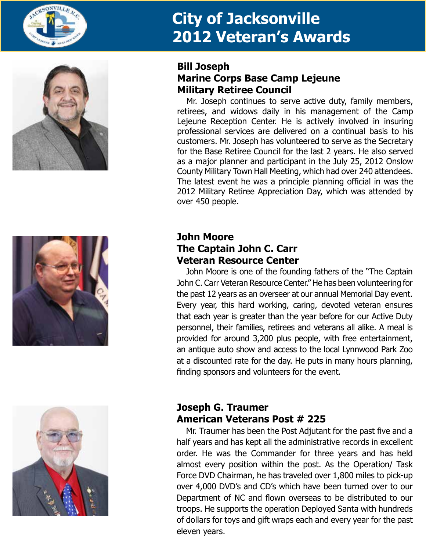







### **Bill Joseph Marine Corps Base Camp Lejeune Military Retiree Council**

Mr. Joseph continues to serve active duty, family members, retirees, and widows daily in his management of the Camp Lejeune Reception Center. He is actively involved in insuring professional services are delivered on a continual basis to his customers. Mr. Joseph has volunteered to serve as the Secretary for the Base Retiree Council for the last 2 years. He also served as a major planner and participant in the July 25, 2012 Onslow County Military Town Hall Meeting, which had over 240 attendees. The latest event he was a principle planning official in was the 2012 Military Retiree Appreciation Day, which was attended by over 450 people.

## **John Moore The Captain John C. Carr Veteran Resource Center**

John Moore is one of the founding fathers of the "The Captain John C. Carr Veteran Resource Center." He has been volunteering for the past 12 years as an overseer at our annual Memorial Day event. Every year, this hard working, caring, devoted veteran ensures that each year is greater than the year before for our Active Duty personnel, their families, retirees and veterans all alike. A meal is provided for around 3,200 plus people, with free entertainment, an antique auto show and access to the local Lynnwood Park Zoo at a discounted rate for the day. He puts in many hours planning, finding sponsors and volunteers for the event.

## **Joseph G. Traumer American Veterans Post # 225**

Mr. Traumer has been the Post Adjutant for the past five and a half years and has kept all the administrative records in excellent order. He was the Commander for three years and has held almost every position within the post. As the Operation/ Task Force DVD Chairman, he has traveled over 1,800 miles to pick-up over 4,000 DVD's and CD's which have been turned over to our Department of NC and flown overseas to be distributed to our troops. He supports the operation Deployed Santa with hundreds of dollars for toys and gift wraps each and every year for the past eleven years.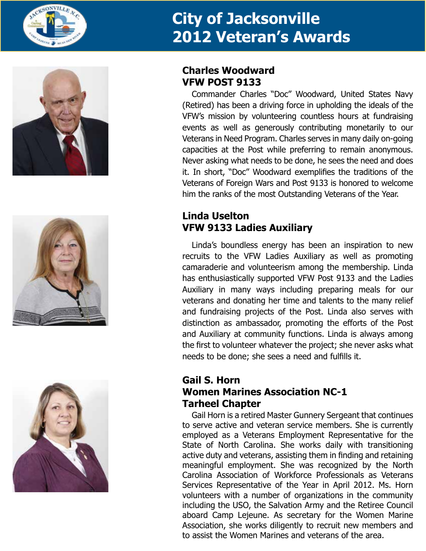







### **Charles Woodward VFW POST 9133**

Commander Charles "Doc" Woodward, United States Navy (Retired) has been a driving force in upholding the ideals of the VFW's mission by volunteering countless hours at fundraising events as well as generously contributing monetarily to our Veterans in Need Program. Charles serves in many daily on-going capacities at the Post while preferring to remain anonymous. Never asking what needs to be done, he sees the need and does it. In short, "Doc" Woodward exemplifies the traditions of the Veterans of Foreign Wars and Post 9133 is honored to welcome him the ranks of the most Outstanding Veterans of the Year.

## **Linda Uselton VFW 9133 Ladies Auxiliary**

Linda's boundless energy has been an inspiration to new recruits to the VFW Ladies Auxiliary as well as promoting camaraderie and volunteerism among the membership. Linda has enthusiastically supported VFW Post 9133 and the Ladies Auxiliary in many ways including preparing meals for our veterans and donating her time and talents to the many relief and fundraising projects of the Post. Linda also serves with distinction as ambassador, promoting the efforts of the Post and Auxiliary at community functions. Linda is always among the first to volunteer whatever the project; she never asks what needs to be done; she sees a need and fulfills it.

## **Gail S. Horn Women Marines Association NC-1 Tarheel Chapter**

Gail Horn is a retired Master Gunnery Sergeant that continues to serve active and veteran service members. She is currently employed as a Veterans Employment Representative for the State of North Carolina. She works daily with transitioning active duty and veterans, assisting them in finding and retaining meaningful employment. She was recognized by the North Carolina Association of Workforce Professionals as Veterans Services Representative of the Year in April 2012. Ms. Horn volunteers with a number of organizations in the community including the USO, the Salvation Army and the Retiree Council aboard Camp Lejeune. As secretary for the Women Marine Association, she works diligently to recruit new members and to assist the Women Marines and veterans of the area.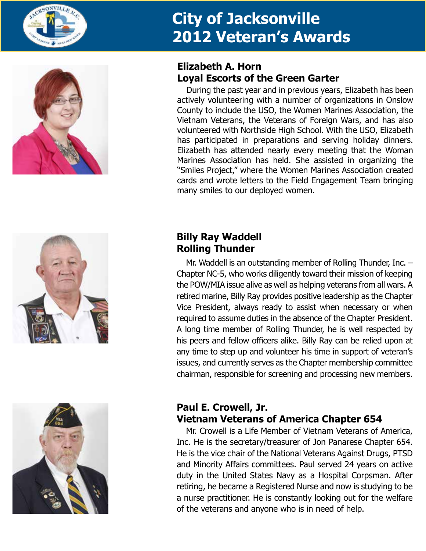



# **Elizabeth A. Horn Loyal Escorts of the Green Garter**

During the past year and in previous years, Elizabeth has been actively volunteering with a number of organizations in Onslow County to include the USO, the Women Marines Association, the Vietnam Veterans, the Veterans of Foreign Wars, and has also volunteered with Northside High School. With the USO, Elizabeth has participated in preparations and serving holiday dinners. Elizabeth has attended nearly every meeting that the Woman Marines Association has held. She assisted in organizing the "Smiles Project," where the Women Marines Association created cards and wrote letters to the Field Engagement Team bringing many smiles to our deployed women.





# **Billy Ray Waddell Rolling Thunder**

Mr. Waddell is an outstanding member of Rolling Thunder, Inc. – Chapter NC-5, who works diligently toward their mission of keeping the POW/MIA issue alive as well as helping veterans from all wars. A retired marine, Billy Ray provides positive leadership as the Chapter Vice President, always ready to assist when necessary or when required to assume duties in the absence of the Chapter President. A long time member of Rolling Thunder, he is well respected by his peers and fellow officers alike. Billy Ray can be relied upon at any time to step up and volunteer his time in support of veteran's issues, and currently serves as the Chapter membership committee chairman, responsible for screening and processing new members.

## **Paul E. Crowell, Jr. Vietnam Veterans of America Chapter 654**

Mr. Crowell is a Life Member of Vietnam Veterans of America, Inc. He is the secretary/treasurer of Jon Panarese Chapter 654. He is the vice chair of the National Veterans Against Drugs, PTSD and Minority Affairs committees. Paul served 24 years on active duty in the United States Navy as a Hospital Corpsman. After retiring, he became a Registered Nurse and now is studying to be a nurse practitioner. He is constantly looking out for the welfare of the veterans and anyone who is in need of help.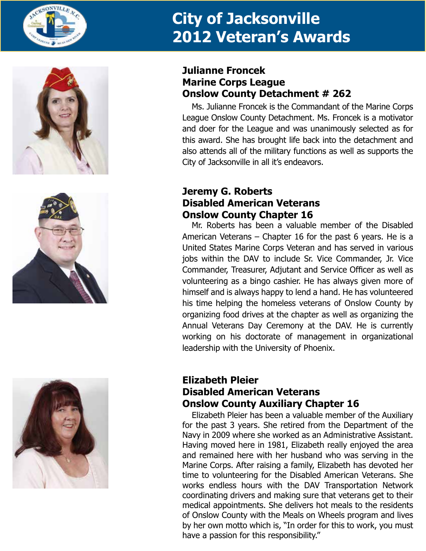







## **Julianne Froncek Marine Corps League Onslow County Detachment # 262**

Ms. Julianne Froncek is the Commandant of the Marine Corps League Onslow County Detachment. Ms. Froncek is a motivator and doer for the League and was unanimously selected as for this award. She has brought life back into the detachment and also attends all of the military functions as well as supports the City of Jacksonville in all it's endeavors.

### **Jeremy G. Roberts Disabled American Veterans Onslow County Chapter 16**

Mr. Roberts has been a valuable member of the Disabled American Veterans – Chapter 16 for the past 6 years. He is a United States Marine Corps Veteran and has served in various jobs within the DAV to include Sr. Vice Commander, Jr. Vice Commander, Treasurer, Adjutant and Service Officer as well as volunteering as a bingo cashier. He has always given more of himself and is always happy to lend a hand. He has volunteered his time helping the homeless veterans of Onslow County by organizing food drives at the chapter as well as organizing the Annual Veterans Day Ceremony at the DAV. He is currently working on his doctorate of management in organizational leadership with the University of Phoenix.

#### **Elizabeth Pleier Disabled American Veterans Onslow County Auxiliary Chapter 16**

Elizabeth Pleier has been a valuable member of the Auxiliary for the past 3 years. She retired from the Department of the Navy in 2009 where she worked as an Administrative Assistant. Having moved here in 1981, Elizabeth really enjoyed the area and remained here with her husband who was serving in the Marine Corps. After raising a family, Elizabeth has devoted her time to volunteering for the Disabled American Veterans. She works endless hours with the DAV Transportation Network coordinating drivers and making sure that veterans get to their medical appointments. She delivers hot meals to the residents of Onslow County with the Meals on Wheels program and lives by her own motto which is, "In order for this to work, you must have a passion for this responsibility."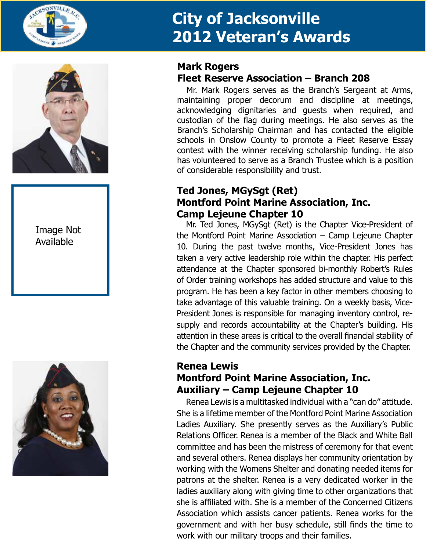



### Image Not Available



#### **Mark Rogers Fleet Reserve Association – Branch 208**

Mr. Mark Rogers serves as the Branch's Sergeant at Arms, maintaining proper decorum and discipline at meetings, acknowledging dignitaries and guests when required, and custodian of the flag during meetings. He also serves as the Branch's Scholarship Chairman and has contacted the eligible schools in Onslow County to promote a Fleet Reserve Essay contest with the winner receiving scholarship funding. He also has volunteered to serve as a Branch Trustee which is a position of considerable responsibility and trust.

## **Ted Jones, MGySgt (Ret) Montford Point Marine Association, Inc. Camp Lejeune Chapter 10**

Mr. Ted Jones, MGySgt (Ret) is the Chapter Vice-President of the Montford Point Marine Association – Camp Lejeune Chapter 10. During the past twelve months, Vice-President Jones has taken a very active leadership role within the chapter. His perfect attendance at the Chapter sponsored bi-monthly Robert's Rules of Order training workshops has added structure and value to this program. He has been a key factor in other members choosing to take advantage of this valuable training. On a weekly basis, Vice-President Jones is responsible for managing inventory control, resupply and records accountability at the Chapter's building. His attention in these areas is critical to the overall financial stability of the Chapter and the community services provided by the Chapter.

### **Renea Lewis Montford Point Marine Association, Inc. Auxiliary – Camp Lejeune Chapter 10**

Renea Lewis is a multitasked individual with a "can do" attitude. She is a lifetime member of the Montford Point Marine Association Ladies Auxiliary. She presently serves as the Auxiliary's Public Relations Officer. Renea is a member of the Black and White Ball committee and has been the mistress of ceremony for that event and several others. Renea displays her community orientation by working with the Womens Shelter and donating needed items for patrons at the shelter. Renea is a very dedicated worker in the ladies auxiliary along with giving time to other organizations that she is affiliated with. She is a member of the Concerned Citizens Association which assists cancer patients. Renea works for the government and with her busy schedule, still finds the time to work with our military troops and their families.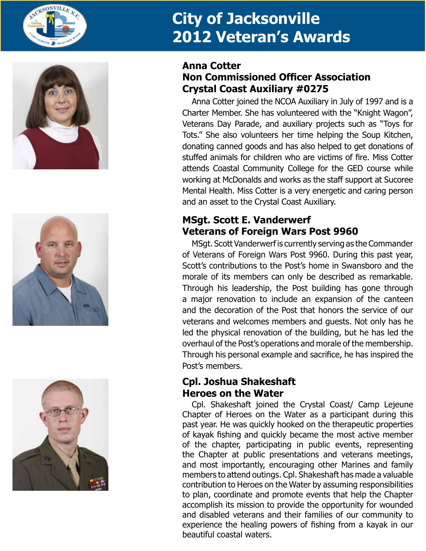







## **Anna Cotter Non Commissioned Officer Association Crystal Coast Auxiliary #0275**

Anna Cotter joined the NCOA Auxiliary in July of 1997 and is a Charter Member. She has volunteered with the "Knight Wagon", Veterans Day Parade, and auxiliary projects such as "Toys for Tots." She also volunteers her time helping the Soup Kitchen, donating canned goods and has also helped to get donations of stuffed animals for children who are victims of fire. Miss Cotter attends Coastal Community College for the GED course while working at McDonalds and works as the staff support at Sucoree Mental Health. Miss Cotter is a very energetic and caring person and an asset to the Crystal Coast Auxiliary.

# **MSgt. Scott E. Vanderwerf Veterans of Foreign Wars Post 9960**

MSgt. Scott Vanderwerf is currently serving as the Commander of Veterans of Foreign Wars Post 9960. During this past year, Scott's contributions to the Post's home in Swansboro and the morale of its members can only be described as remarkable. Through his leadership, the Post building has gone through a major renovation to include an expansion of the canteen and the decoration of the Post that honors the service of our veterans and welcomes members and guests. Not only has he led the physical renovation of the building, but he has led the overhaul of the Post's operations and morale of the membership. Through his personal example and sacrifice, he has inspired the Post's members.

## **Cpl. Joshua Shakeshaft Heroes on the Water**

Cpl. Shakeshaft joined the Crystal Coast/ Camp Lejeune Chapter of Heroes on the Water as a participant during this past year. He was quickly hooked on the therapeutic properties of kayak fishing and quickly became the most active member of the chapter, participating in public events, representing the Chapter at public presentations and veterans meetings, and most importantly, encouraging other Marines and family members to attend outings. Cpl. Shakeshaft has made a valuable contribution to Heroes on the Water by assuming responsibilities to plan, coordinate and promote events that help the Chapter accomplish its mission to provide the opportunity for wounded and disabled veterans and their families of our community to experience the healing powers of fishing from a kayak in our beautiful coastal waters.